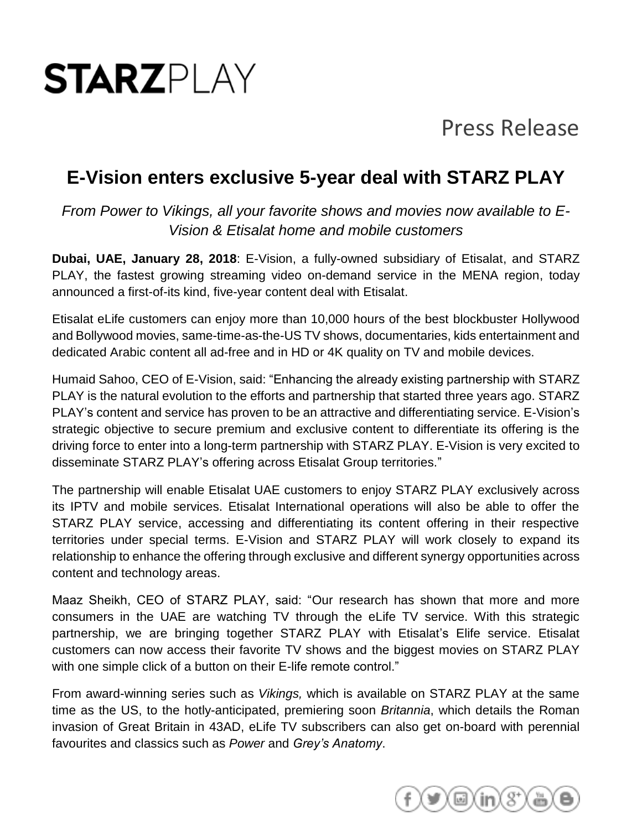# **STARZPI AY**

## Press Release

### **E-Vision enters exclusive 5-year deal with STARZ PLAY**

*From Power to Vikings, all your favorite shows and movies now available to E-Vision & Etisalat home and mobile customers*

**Dubai, UAE, January 28, 2018**: E-Vision, a fully-owned subsidiary of Etisalat, and STARZ PLAY, the fastest growing streaming video on-demand service in the MENA region, today announced a first-of-its kind, five-year content deal with Etisalat.

Etisalat eLife customers can enjoy more than 10,000 hours of the best blockbuster Hollywood and Bollywood movies, same-time-as-the-US TV shows, documentaries, kids entertainment and dedicated Arabic content all ad-free and in HD or 4K quality on TV and mobile devices.

Humaid Sahoo, CEO of E-Vision, said: "Enhancing the already existing partnership with STARZ PLAY is the natural evolution to the efforts and partnership that started three years ago. STARZ PLAY's content and service has proven to be an attractive and differentiating service. E-Vision's strategic objective to secure premium and exclusive content to differentiate its offering is the driving force to enter into a long-term partnership with STARZ PLAY. E-Vision is very excited to disseminate STARZ PLAY's offering across Etisalat Group territories."

The partnership will enable Etisalat UAE customers to enjoy STARZ PLAY exclusively across its IPTV and mobile services. Etisalat International operations will also be able to offer the STARZ PLAY service, accessing and differentiating its content offering in their respective territories under special terms. E-Vision and STARZ PLAY will work closely to expand its relationship to enhance the offering through exclusive and different synergy opportunities across content and technology areas.

Maaz Sheikh, CEO of STARZ PLAY, said: "Our research has shown that more and more consumers in the UAE are watching TV through the eLife TV service. With this strategic partnership, we are bringing together STARZ PLAY with Etisalat's Elife service. Etisalat customers can now access their favorite TV shows and the biggest movies on STARZ PLAY with one simple click of a button on their E-life remote control."

From award-winning series such as *Vikings,* which is available on STARZ PLAY at the same time as the US, to the hotly-anticipated, premiering soon *Britannia*, which details the Roman invasion of Great Britain in 43AD, eLife TV subscribers can also get on-board with perennial favourites and classics such as *Power* and *Grey's Anatomy*.